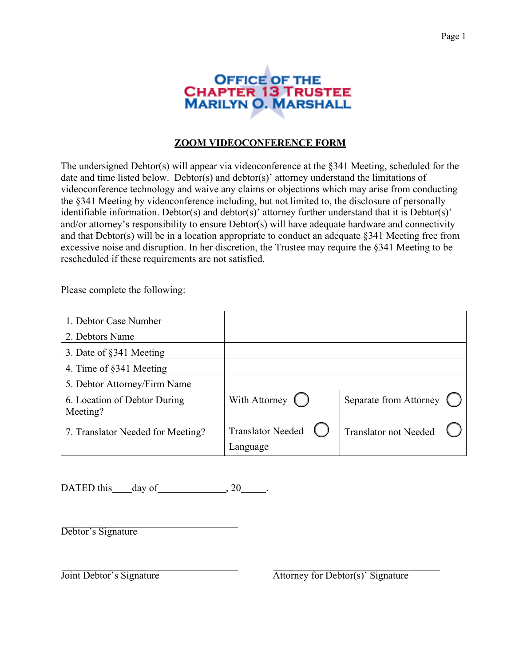

## **ZOOM VIDEOCONFERENCE FORM**

The undersigned Debtor(s) will appear via videoconference at the §341 Meeting, scheduled for the date and time listed below. Debtor(s) and debtor(s)' attorney understand the limitations of videoconference technology and waive any claims or objections which may arise from conducting the §341 Meeting by videoconference including, but not limited to, the disclosure of personally identifiable information. Debtor(s) and debtor(s)' attorney further understand that it is Debtor(s)' and/or attorney's responsibility to ensure Debtor(s) will have adequate hardware and connectivity and that Debtor(s) will be in a location appropriate to conduct an adequate §341 Meeting free from excessive noise and disruption. In her discretion, the Trustee may require the §341 Meeting to be rescheduled if these requirements are not satisfied.

Please complete the following:

| 1. Debtor Case Number                    |                          |                              |
|------------------------------------------|--------------------------|------------------------------|
| 2. Debtors Name                          |                          |                              |
| 3. Date of §341 Meeting                  |                          |                              |
| 4. Time of §341 Meeting                  |                          |                              |
| 5. Debtor Attorney/Firm Name             |                          |                              |
| 6. Location of Debtor During<br>Meeting? | With Attorney (          | Separate from Attorney       |
| 7. Translator Needed for Meeting?        | <b>Translator Needed</b> | <b>Translator not Needed</b> |
|                                          | Language                 |                              |

DATED this day of  $\qquad \qquad , 20 \qquad .$ 

Debtor's Signature

Joint Debtor's Signature Attorney for Debtor(s)' Signature